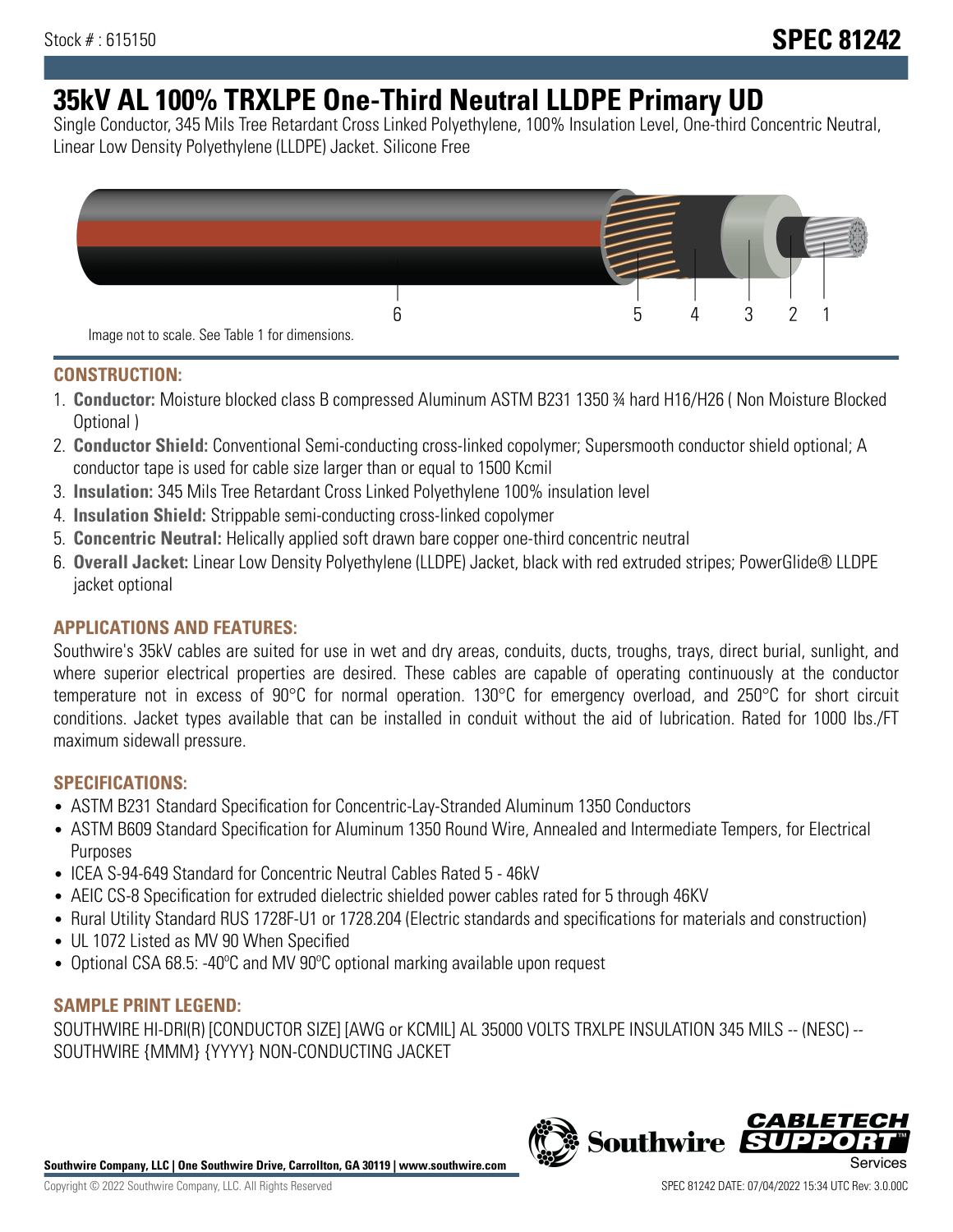# **35kV AL 100% TRXLPE One-Third Neutral LLDPE Primary UD**

Single Conductor, 345 Mils Tree Retardant Cross Linked Polyethylene, 100% Insulation Level, One-third Concentric Neutral, Linear Low Density Polyethylene (LLDPE) Jacket. Silicone Free



## **CONSTRUCTION:**

- 1. **Conductor:** Moisture blocked class B compressed Aluminum ASTM B231 1350 ¾ hard H16/H26 ( Non Moisture Blocked Optional )
- 2. **Conductor Shield:** Conventional Semi-conducting cross-linked copolymer; Supersmooth conductor shield optional; A conductor tape is used for cable size larger than or equal to 1500 Kcmil
- 3. **Insulation:** 345 Mils Tree Retardant Cross Linked Polyethylene 100% insulation level
- 4. **Insulation Shield:** Strippable semi-conducting cross-linked copolymer
- 5. **Concentric Neutral:** Helically applied soft drawn bare copper one-third concentric neutral
- 6. **Overall Jacket:** Linear Low Density Polyethylene (LLDPE) Jacket, black with red extruded stripes; PowerGlide® LLDPE jacket optional

# **APPLICATIONS AND FEATURES:**

Southwire's 35kV cables are suited for use in wet and dry areas, conduits, ducts, troughs, trays, direct burial, sunlight, and where superior electrical properties are desired. These cables are capable of operating continuously at the conductor temperature not in excess of 90°C for normal operation. 130°C for emergency overload, and 250°C for short circuit conditions. Jacket types available that can be installed in conduit without the aid of lubrication. Rated for 1000 lbs./FT maximum sidewall pressure.

## **SPECIFICATIONS:**

- ASTM B231 Standard Specification for Concentric-Lay-Stranded Aluminum 1350 Conductors
- ASTM B609 Standard Specification for Aluminum 1350 Round Wire, Annealed and Intermediate Tempers, for Electrical Purposes
- ICEA S-94-649 Standard for Concentric Neutral Cables Rated 5 46kV
- AEIC CS-8 Specification for extruded dielectric shielded power cables rated for 5 through 46KV
- Rural Utility Standard RUS 1728F-U1 or 1728.204 (Electric standards and specifications for materials and construction)
- UL 1072 Listed as MV 90 When Specified
- Optional CSA 68.5: -40ºC and MV 90ºC optional marking available upon request

## **SAMPLE PRINT LEGEND:**

SOUTHWIRE HI-DRI(R) [CONDUCTOR SIZE] [AWG or KCMIL] AL 35000 VOLTS TRXLPE INSULATION 345 MILS -- (NESC) -- SOUTHWIRE {MMM} {YYYY} NON-CONDUCTING JACKET

**Southwire Company, LLC | One Southwire Drive, Carrollton, GA 30119 | www.southwire.com**

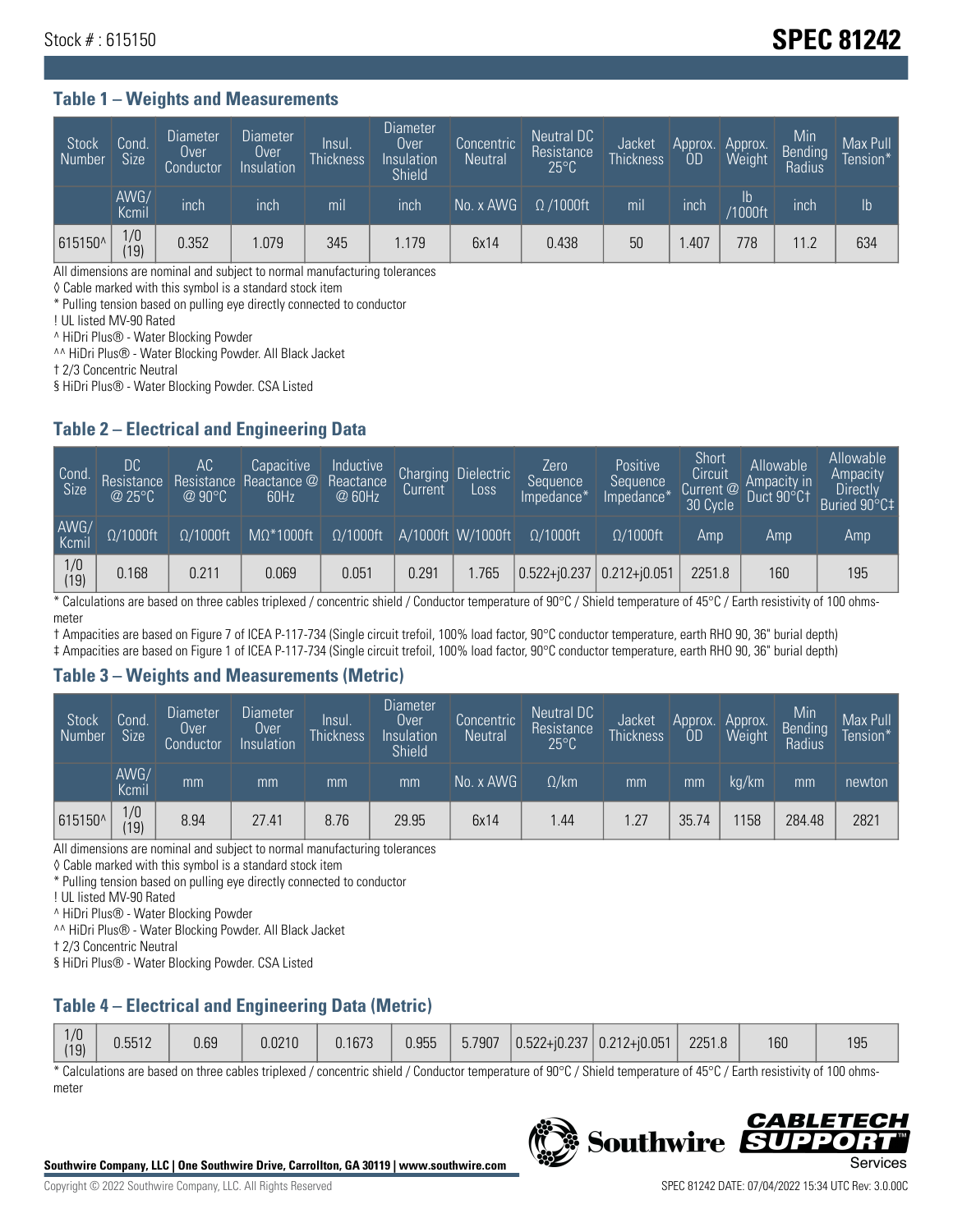# Stock # : 615150 **SPEC 81242**

#### **Table 1 – Weights and Measurements**

| <b>Stock</b><br>Number | Cond.<br>Size <sup>1</sup> | <b>Diameter</b><br>Over<br>Conductor | <b>Diameter</b><br>Over<br>Insulation | <b>Insul</b><br><b>Thickness</b> | <b>Diameter</b><br>Over<br>Insulation<br><b>Shield</b> | Concentric<br><b>Neutral</b> | Neutral DC<br>Resistance<br>$25^{\circ}$ C | Jacket<br><b>Thickness</b> | Approx.<br>0D | Approx.<br>Weight | Min<br><b>Bending</b><br>Radius | Max Pull<br>Tension* <sup>1</sup> |
|------------------------|----------------------------|--------------------------------------|---------------------------------------|----------------------------------|--------------------------------------------------------|------------------------------|--------------------------------------------|----------------------------|---------------|-------------------|---------------------------------|-----------------------------------|
|                        | AWG/<br>Kcmil              | inch                                 | inch                                  | m <sub>l</sub>                   | inch                                                   | No. x AWG                    | $\Omega$ /1000ft                           | mil                        | inch          | Ib<br>/1000ft     | inch                            | I <sub>b</sub>                    |
| 615150^                | 1/0<br>19)                 | 0.352                                | 1.079                                 | 345                              | .179                                                   | 6x14                         | 0.438                                      | 50                         | .407          | 778               | 11.2                            | 634                               |

All dimensions are nominal and subject to normal manufacturing tolerances

◊ Cable marked with this symbol is a standard stock item

\* Pulling tension based on pulling eye directly connected to conductor

! UL listed MV-90 Rated

^ HiDri Plus® - Water Blocking Powder

^^ HiDri Plus® - Water Blocking Powder. All Black Jacket

† 2/3 Concentric Neutral

§ HiDri Plus® - Water Blocking Powder. CSA Listed

## **Table 2 – Electrical and Engineering Data**

| Cond.<br>Size         | 'DC.<br>Resistance<br>@25°C | АC<br>Resistance<br>$\varpi$ 90°C | Capacitive<br>Reactance @<br>60Hz | Inductive<br>Reactance<br>@ 60Hz | <b>Charging</b><br>Current | <b>Dielectric</b><br>Loss | Zero<br>Sequence<br>Impedance* | <b>Positive</b><br>Sequence<br>Impedance <sup>®</sup> | Short<br>Circuit<br>Current <sup>@</sup><br>30 Cycle | Allowable<br>Ampacity in<br>Duct 90°C1 | Allowable<br>Ampacity<br>Directly<br>Buried 90°C‡ |
|-----------------------|-----------------------------|-----------------------------------|-----------------------------------|----------------------------------|----------------------------|---------------------------|--------------------------------|-------------------------------------------------------|------------------------------------------------------|----------------------------------------|---------------------------------------------------|
| AWG/<br>Kcmil         | $\Omega/1000$ ft            | $\Omega/1000$ ft                  | $M\Omega^*1000$ ft                | $\Omega/1000$ ft                 |                            | A/1000ft W/1000ft         | $\Omega/1000$ ft               | $\Omega$ /1000ft                                      | Amp                                                  | Amp                                    | Amp                                               |
| $\frac{1}{0}$<br>(19) | 0.168                       | 0.211                             | 0.069                             | 0.051                            | 0.291                      | 1.765                     | $0.522 + i0.237$ 0.212+i0.051  |                                                       | 2251.8                                               | 160                                    | 195                                               |

\* Calculations are based on three cables triplexed / concentric shield / Conductor temperature of 90°C / Shield temperature of 45°C / Earth resistivity of 100 ohmsmeter

† Ampacities are based on Figure 7 of ICEA P-117-734 (Single circuit trefoil, 100% load factor, 90°C conductor temperature, earth RHO 90, 36" burial depth)

‡ Ampacities are based on Figure 1 of ICEA P-117-734 (Single circuit trefoil, 100% load factor, 90°C conductor temperature, earth RHO 90, 36" burial depth)

#### **Table 3 – Weights and Measurements (Metric)**

| Stock<br>Number | Cond.<br>Size <sup>1</sup> | <b>Diameter</b><br>Over<br>Conductor | <b>Diameter</b><br>Over<br>Insulation | Insul.<br><b>Thickness</b> | <b>Diameter</b><br>Over <sup>'</sup><br>Insulation<br><b>Shield</b> | Concentric<br>Neutral | Neutral DC<br>Resistance<br>$25^{\circ}$ C | Jacket<br><b>Thickness</b> | Approx.<br><b>OD</b> | Approx.<br>Weight | Min<br>Bending<br>Radius | Max Pull<br>Tension* |
|-----------------|----------------------------|--------------------------------------|---------------------------------------|----------------------------|---------------------------------------------------------------------|-----------------------|--------------------------------------------|----------------------------|----------------------|-------------------|--------------------------|----------------------|
|                 | AWG/<br>Kcmil              | mm                                   | mm                                    | mm                         | mm                                                                  | No. x AWG             | $\Omega$ /km                               | mm                         | mm                   | ka/km             | mm                       | newton               |
| 615150^         | 1/0<br>(19)                | 8.94                                 | 27.41                                 | 8.76                       | 29.95                                                               | 6x14                  | 44. ا                                      | 1.27                       | 35.74                | 158               | 284.48                   | 2821                 |

All dimensions are nominal and subject to normal manufacturing tolerances

◊ Cable marked with this symbol is a standard stock item

\* Pulling tension based on pulling eye directly connected to conductor

! UL listed MV-90 Rated

^ HiDri Plus® - Water Blocking Powder

^^ HiDri Plus® - Water Blocking Powder. All Black Jacket

† 2/3 Concentric Neutral

§ HiDri Plus® - Water Blocking Powder. CSA Listed

## **Table 4 – Electrical and Engineering Data (Metric)**

| 1/0<br>(19) | 0.5512 | 0.69 | 0.0210 | 0.1673 | 0.955 |  |  | $\begin{bmatrix} 5.7907 & 0.522 + 0.237 & 0.212 + 0.051 \end{bmatrix}$ | 2251.8 | 160 | 195 |
|-------------|--------|------|--------|--------|-------|--|--|------------------------------------------------------------------------|--------|-----|-----|
|-------------|--------|------|--------|--------|-------|--|--|------------------------------------------------------------------------|--------|-----|-----|

\* Calculations are based on three cables triplexed / concentric shield / Conductor temperature of 90°C / Shield temperature of 45°C / Earth resistivity of 100 ohmsmeter



**Southwire** 

*CABLE*